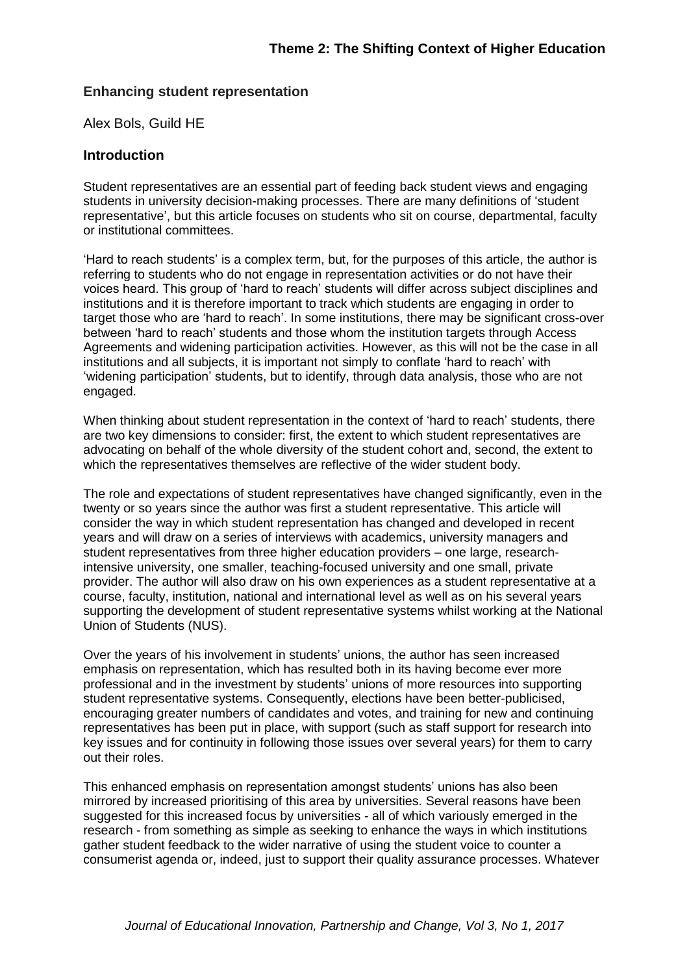### **Enhancing student representation**

Alex Bols, Guild HE

#### **Introduction**

Student representatives are an essential part of feeding back student views and engaging students in university decision-making processes. There are many definitions of 'student representative', but this article focuses on students who sit on course, departmental, faculty or institutional committees.

'Hard to reach students' is a complex term, but, for the purposes of this article, the author is referring to students who do not engage in representation activities or do not have their voices heard. This group of 'hard to reach' students will differ across subject disciplines and institutions and it is therefore important to track which students are engaging in order to target those who are 'hard to reach'. In some institutions, there may be significant cross-over between 'hard to reach' students and those whom the institution targets through Access Agreements and widening participation activities. However, as this will not be the case in all institutions and all subjects, it is important not simply to conflate 'hard to reach' with 'widening participation' students, but to identify, through data analysis, those who are not engaged.

When thinking about student representation in the context of 'hard to reach' students, there are two key dimensions to consider: first, the extent to which student representatives are advocating on behalf of the whole diversity of the student cohort and, second, the extent to which the representatives themselves are reflective of the wider student body.

The role and expectations of student representatives have changed significantly, even in the twenty or so years since the author was first a student representative. This article will consider the way in which student representation has changed and developed in recent years and will draw on a series of interviews with academics, university managers and student representatives from three higher education providers – one large, researchintensive university, one smaller, teaching-focused university and one small, private provider. The author will also draw on his own experiences as a student representative at a course, faculty, institution, national and international level as well as on his several years supporting the development of student representative systems whilst working at the National Union of Students (NUS).

Over the years of his involvement in students' unions, the author has seen increased emphasis on representation, which has resulted both in its having become ever more professional and in the investment by students' unions of more resources into supporting student representative systems. Consequently, elections have been better-publicised, encouraging greater numbers of candidates and votes, and training for new and continuing representatives has been put in place, with support (such as staff support for research into key issues and for continuity in following those issues over several years) for them to carry out their roles.

This enhanced emphasis on representation amongst students' unions has also been mirrored by increased prioritising of this area by universities. Several reasons have been suggested for this increased focus by universities - all of which variously emerged in the research - from something as simple as seeking to enhance the ways in which institutions gather student feedback to the wider narrative of using the student voice to counter a consumerist agenda or, indeed, just to support their quality assurance processes. Whatever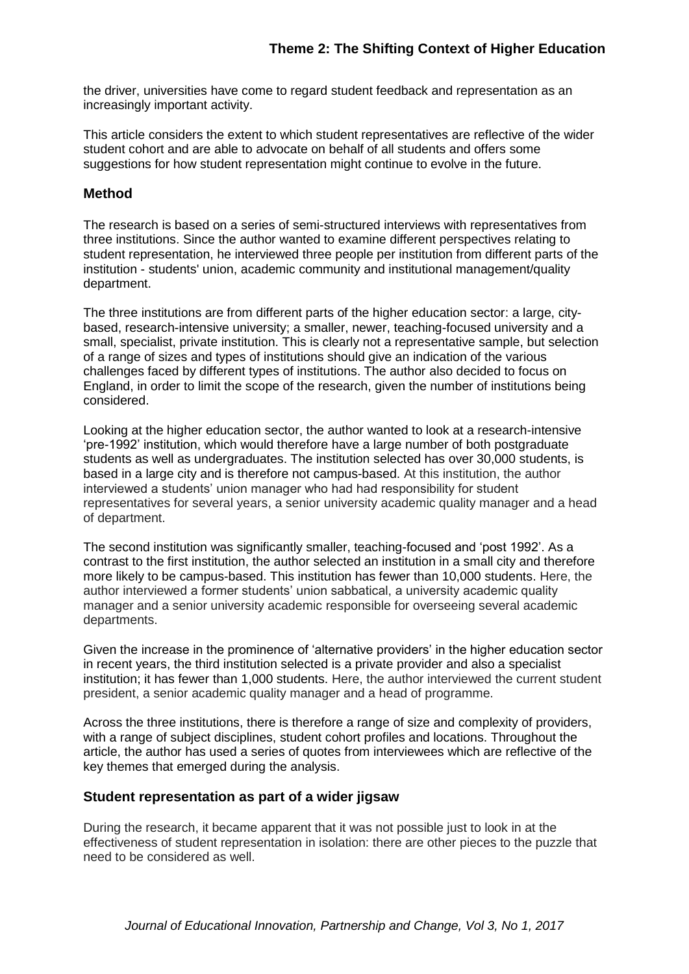the driver, universities have come to regard student feedback and representation as an increasingly important activity.

This article considers the extent to which student representatives are reflective of the wider student cohort and are able to advocate on behalf of all students and offers some suggestions for how student representation might continue to evolve in the future.

### **Method**

The research is based on a series of semi-structured interviews with representatives from three institutions. Since the author wanted to examine different perspectives relating to student representation, he interviewed three people per institution from different parts of the institution - students' union, academic community and institutional management/quality department.

The three institutions are from different parts of the higher education sector: a large, citybased, research-intensive university; a smaller, newer, teaching-focused university and a small, specialist, private institution. This is clearly not a representative sample, but selection of a range of sizes and types of institutions should give an indication of the various challenges faced by different types of institutions. The author also decided to focus on England, in order to limit the scope of the research, given the number of institutions being considered.

Looking at the higher education sector, the author wanted to look at a research-intensive 'pre-1992' institution, which would therefore have a large number of both postgraduate students as well as undergraduates. The institution selected has over 30,000 students, is based in a large city and is therefore not campus-based. At this institution, the author interviewed a students' union manager who had had responsibility for student representatives for several years, a senior university academic quality manager and a head of department.

The second institution was significantly smaller, teaching-focused and 'post 1992'. As a contrast to the first institution, the author selected an institution in a small city and therefore more likely to be campus-based. This institution has fewer than 10,000 students. Here, the author interviewed a former students' union sabbatical, a university academic quality manager and a senior university academic responsible for overseeing several academic departments.

Given the increase in the prominence of 'alternative providers' in the higher education sector in recent years, the third institution selected is a private provider and also a specialist institution; it has fewer than 1,000 students. Here, the author interviewed the current student president, a senior academic quality manager and a head of programme.

Across the three institutions, there is therefore a range of size and complexity of providers, with a range of subject disciplines, student cohort profiles and locations. Throughout the article, the author has used a series of quotes from interviewees which are reflective of the key themes that emerged during the analysis.

### **Student representation as part of a wider jigsaw**

During the research, it became apparent that it was not possible just to look in at the effectiveness of student representation in isolation: there are other pieces to the puzzle that need to be considered as well.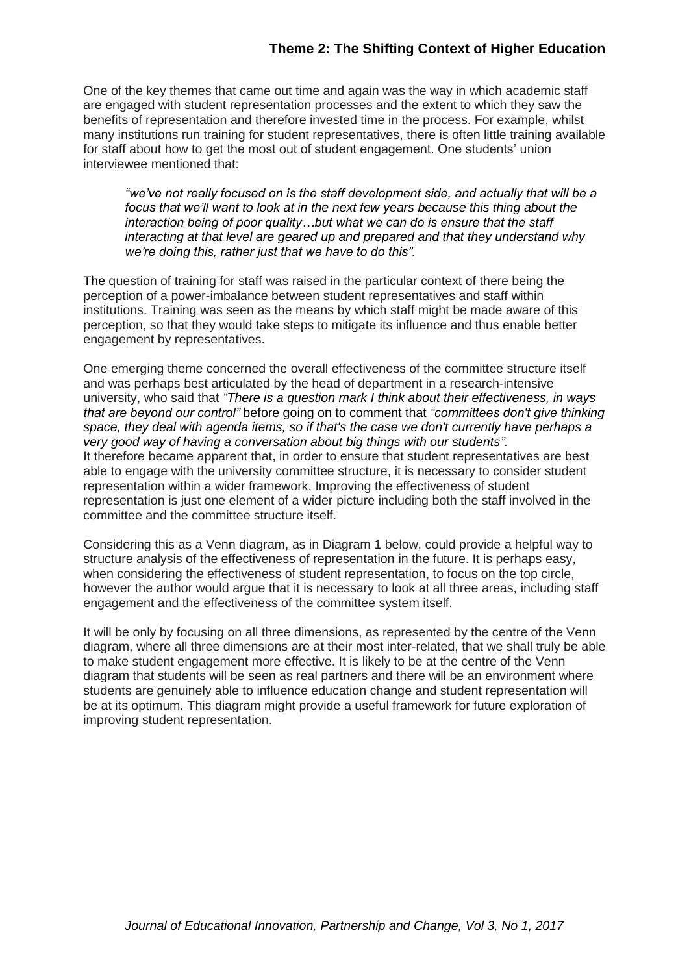# **Theme 2: The Shifting Context of Higher Education**

One of the key themes that came out time and again was the way in which academic staff are engaged with student representation processes and the extent to which they saw the benefits of representation and therefore invested time in the process. For example, whilst many institutions run training for student representatives, there is often little training available for staff about how to get the most out of student engagement. One students' union interviewee mentioned that:

*"we've not really focused on is the staff development side, and actually that will be a focus that we'll want to look at in the next few years because this thing about the interaction being of poor quality…but what we can do is ensure that the staff interacting at that level are geared up and prepared and that they understand why we're doing this, rather just that we have to do this".* 

The question of training for staff was raised in the particular context of there being the perception of a power-imbalance between student representatives and staff within institutions. Training was seen as the means by which staff might be made aware of this perception, so that they would take steps to mitigate its influence and thus enable better engagement by representatives.

One emerging theme concerned the overall effectiveness of the committee structure itself and was perhaps best articulated by the head of department in a research-intensive university, who said that *"There is a question mark I think about their effectiveness, in ways that are beyond our control"* before going on to comment that *"committees don't give thinking space, they deal with agenda items, so if that's the case we don't currently have perhaps a very good way of having a conversation about big things with our students".*  It therefore became apparent that, in order to ensure that student representatives are best able to engage with the university committee structure, it is necessary to consider student representation within a wider framework. Improving the effectiveness of student representation is just one element of a wider picture including both the staff involved in the committee and the committee structure itself.

Considering this as a Venn diagram, as in Diagram 1 below, could provide a helpful way to structure analysis of the effectiveness of representation in the future. It is perhaps easy, when considering the effectiveness of student representation, to focus on the top circle, however the author would argue that it is necessary to look at all three areas, including staff engagement and the effectiveness of the committee system itself.

It will be only by focusing on all three dimensions, as represented by the centre of the Venn diagram, where all three dimensions are at their most inter-related, that we shall truly be able to make student engagement more effective. It is likely to be at the centre of the Venn diagram that students will be seen as real partners and there will be an environment where students are genuinely able to influence education change and student representation will be at its optimum. This diagram might provide a useful framework for future exploration of improving student representation.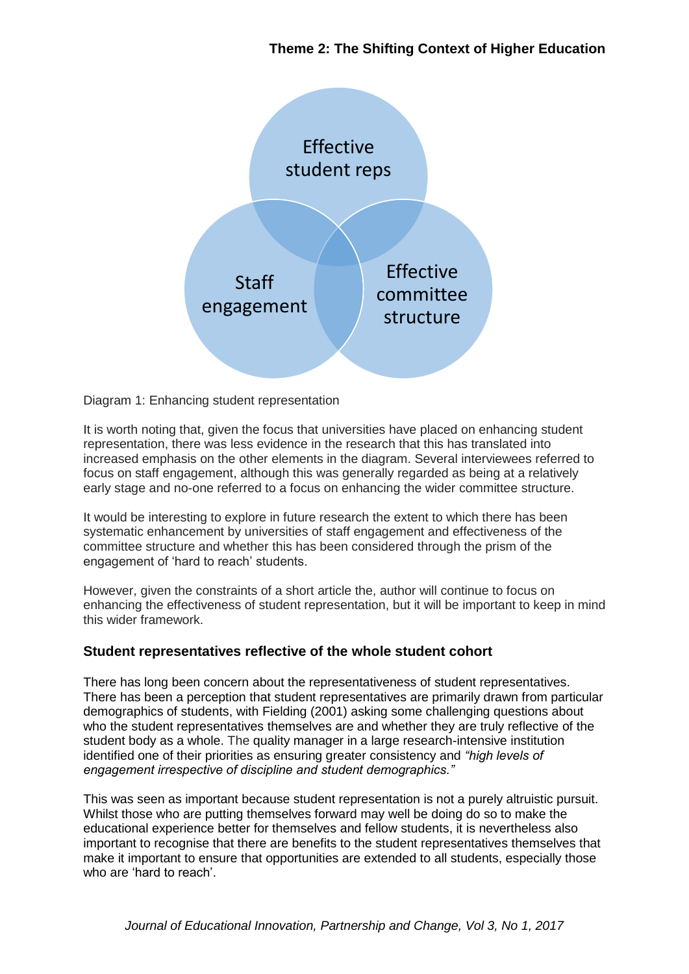# **Theme 2: The Shifting Context of Higher Education**



Diagram 1: Enhancing student representation

It is worth noting that, given the focus that universities have placed on enhancing student representation, there was less evidence in the research that this has translated into increased emphasis on the other elements in the diagram. Several interviewees referred to focus on staff engagement, although this was generally regarded as being at a relatively early stage and no-one referred to a focus on enhancing the wider committee structure.

It would be interesting to explore in future research the extent to which there has been systematic enhancement by universities of staff engagement and effectiveness of the committee structure and whether this has been considered through the prism of the engagement of 'hard to reach' students.

However, given the constraints of a short article the, author will continue to focus on enhancing the effectiveness of student representation, but it will be important to keep in mind this wider framework.

# **Student representatives reflective of the whole student cohort**

There has long been concern about the representativeness of student representatives. There has been a perception that student representatives are primarily drawn from particular demographics of students, with Fielding (2001) asking some challenging questions about who the student representatives themselves are and whether they are truly reflective of the student body as a whole. The quality manager in a large research-intensive institution identified one of their priorities as ensuring greater consistency and *"high levels of engagement irrespective of discipline and student demographics."*

This was seen as important because student representation is not a purely altruistic pursuit. Whilst those who are putting themselves forward may well be doing do so to make the educational experience better for themselves and fellow students, it is nevertheless also important to recognise that there are benefits to the student representatives themselves that make it important to ensure that opportunities are extended to all students, especially those who are 'hard to reach'.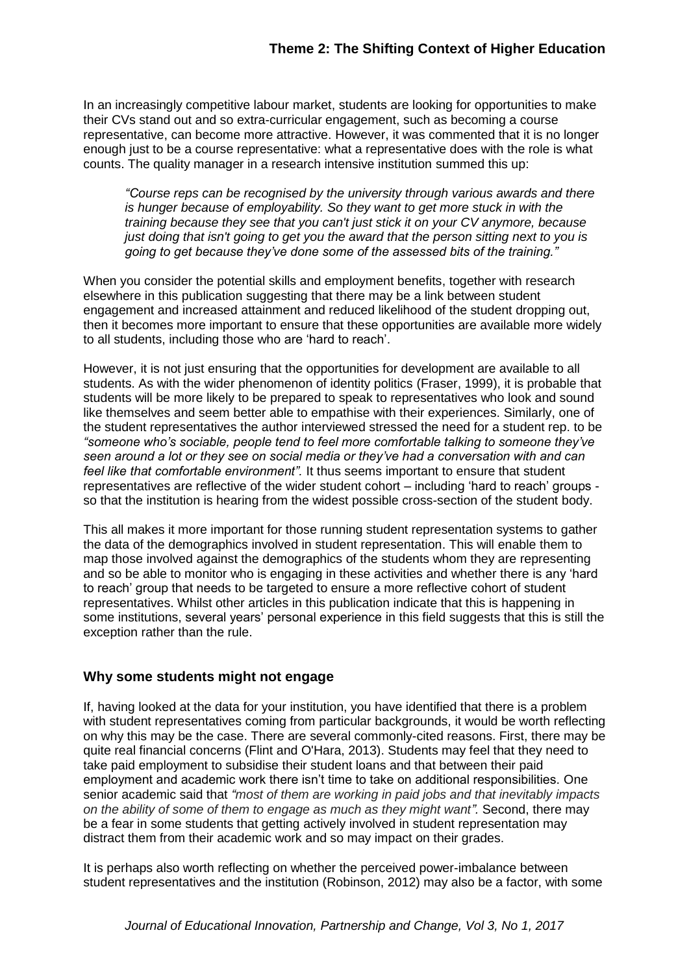In an increasingly competitive labour market, students are looking for opportunities to make their CVs stand out and so extra-curricular engagement, such as becoming a course representative, can become more attractive. However, it was commented that it is no longer enough just to be a course representative: what a representative does with the role is what counts. The quality manager in a research intensive institution summed this up:

*"Course reps can be recognised by the university through various awards and there is hunger because of employability. So they want to get more stuck in with the training because they see that you can't just stick it on your CV anymore, because just doing that isn't going to get you the award that the person sitting next to you is going to get because they've done some of the assessed bits of the training."*

When you consider the potential skills and employment benefits, together with research elsewhere in this publication suggesting that there may be a link between student engagement and increased attainment and reduced likelihood of the student dropping out, then it becomes more important to ensure that these opportunities are available more widely to all students, including those who are 'hard to reach'.

However, it is not just ensuring that the opportunities for development are available to all students. As with the wider phenomenon of identity politics (Fraser, 1999), it is probable that students will be more likely to be prepared to speak to representatives who look and sound like themselves and seem better able to empathise with their experiences. Similarly, one of the student representatives the author interviewed stressed the need for a student rep. to be *"someone who's sociable, people tend to feel more comfortable talking to someone they've seen around a lot or they see on social media or they've had a conversation with and can feel like that comfortable environment".* It thus seems important to ensure that student representatives are reflective of the wider student cohort – including 'hard to reach' groups so that the institution is hearing from the widest possible cross-section of the student body.

This all makes it more important for those running student representation systems to gather the data of the demographics involved in student representation. This will enable them to map those involved against the demographics of the students whom they are representing and so be able to monitor who is engaging in these activities and whether there is any 'hard to reach' group that needs to be targeted to ensure a more reflective cohort of student representatives. Whilst other articles in this publication indicate that this is happening in some institutions, several years' personal experience in this field suggests that this is still the exception rather than the rule.

# **Why some students might not engage**

If, having looked at the data for your institution, you have identified that there is a problem with student representatives coming from particular backgrounds, it would be worth reflecting on why this may be the case. There are several commonly-cited reasons. First, there may be quite real financial concerns (Flint and O'Hara, 2013). Students may feel that they need to take paid employment to subsidise their student loans and that between their paid employment and academic work there isn't time to take on additional responsibilities. One senior academic said that *"most of them are working in paid jobs and that inevitably impacts on the ability of some of them to engage as much as they might want".* Second, there may be a fear in some students that getting actively involved in student representation may distract them from their academic work and so may impact on their grades.

It is perhaps also worth reflecting on whether the perceived power-imbalance between student representatives and the institution (Robinson, 2012) may also be a factor, with some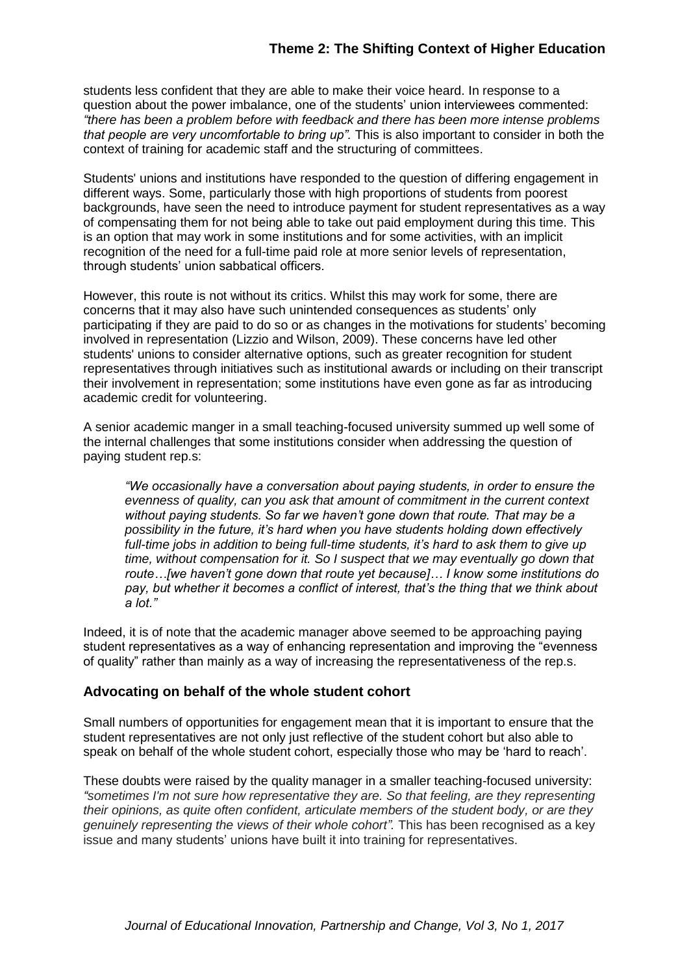students less confident that they are able to make their voice heard. In response to a question about the power imbalance, one of the students' union interviewees commented: *"there has been a problem before with feedback and there has been more intense problems that people are very uncomfortable to bring up".* This is also important to consider in both the context of training for academic staff and the structuring of committees.

Students' unions and institutions have responded to the question of differing engagement in different ways. Some, particularly those with high proportions of students from poorest backgrounds, have seen the need to introduce payment for student representatives as a way of compensating them for not being able to take out paid employment during this time. This is an option that may work in some institutions and for some activities, with an implicit recognition of the need for a full-time paid role at more senior levels of representation, through students' union sabbatical officers.

However, this route is not without its critics. Whilst this may work for some, there are concerns that it may also have such unintended consequences as students' only participating if they are paid to do so or as changes in the motivations for students' becoming involved in representation (Lizzio and Wilson, 2009). These concerns have led other students' unions to consider alternative options, such as greater recognition for student representatives through initiatives such as institutional awards or including on their transcript their involvement in representation; some institutions have even gone as far as introducing academic credit for volunteering.

A senior academic manger in a small teaching-focused university summed up well some of the internal challenges that some institutions consider when addressing the question of paying student rep.s:

*"We occasionally have a conversation about paying students, in order to ensure the evenness of quality, can you ask that amount of commitment in the current context without paying students. So far we haven't gone down that route. That may be a possibility in the future, it's hard when you have students holding down effectively full-time jobs in addition to being full-time students, it's hard to ask them to give up time, without compensation for it. So I suspect that we may eventually go down that route…[we haven't gone down that route yet because]… I know some institutions do pay, but whether it becomes a conflict of interest, that's the thing that we think about a lot."* 

Indeed, it is of note that the academic manager above seemed to be approaching paying student representatives as a way of enhancing representation and improving the "evenness of quality" rather than mainly as a way of increasing the representativeness of the rep.s.

#### **Advocating on behalf of the whole student cohort**

Small numbers of opportunities for engagement mean that it is important to ensure that the student representatives are not only just reflective of the student cohort but also able to speak on behalf of the whole student cohort, especially those who may be 'hard to reach'.

These doubts were raised by the quality manager in a smaller teaching-focused university: *"sometimes I'm not sure how representative they are. So that feeling, are they representing their opinions, as quite often confident, articulate members of the student body, or are they genuinely representing the views of their whole cohort".* This has been recognised as a key issue and many students' unions have built it into training for representatives.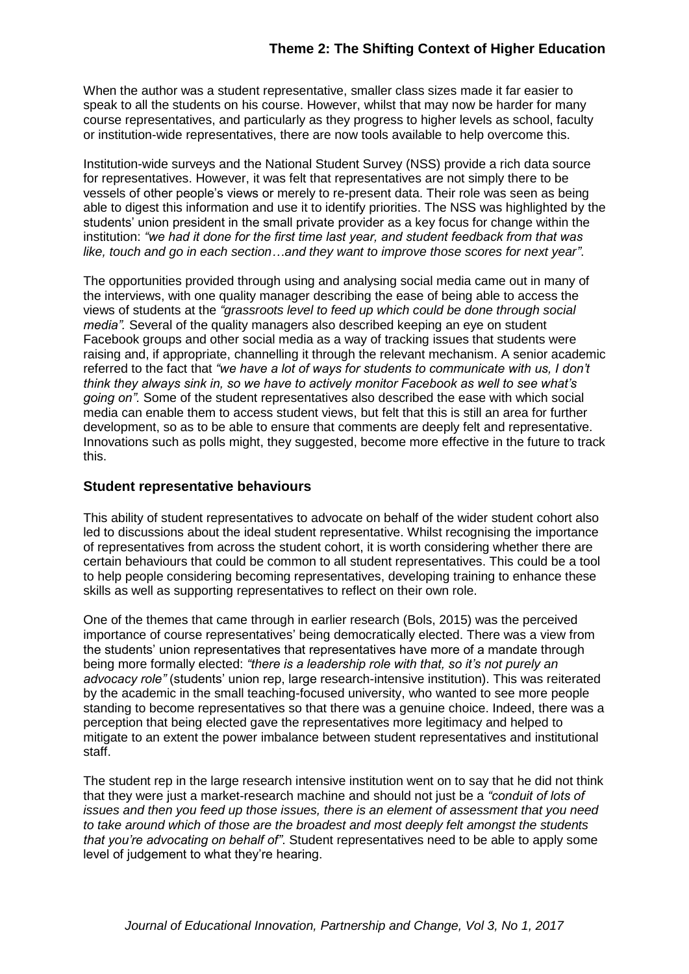When the author was a student representative, smaller class sizes made it far easier to speak to all the students on his course. However, whilst that may now be harder for many course representatives, and particularly as they progress to higher levels as school, faculty or institution-wide representatives, there are now tools available to help overcome this.

Institution-wide surveys and the National Student Survey (NSS) provide a rich data source for representatives. However, it was felt that representatives are not simply there to be vessels of other people's views or merely to re-present data. Their role was seen as being able to digest this information and use it to identify priorities. The NSS was highlighted by the students' union president in the small private provider as a key focus for change within the institution: *"we had it done for the first time last year, and student feedback from that was like, touch and go in each section…and they want to improve those scores for next year"*.

The opportunities provided through using and analysing social media came out in many of the interviews, with one quality manager describing the ease of being able to access the views of students at the *"grassroots level to feed up which could be done through social media".* Several of the quality managers also described keeping an eye on student Facebook groups and other social media as a way of tracking issues that students were raising and, if appropriate, channelling it through the relevant mechanism. A senior academic referred to the fact that *"we have a lot of ways for students to communicate with us, I don't think they always sink in, so we have to actively monitor Facebook as well to see what's going on".* Some of the student representatives also described the ease with which social media can enable them to access student views, but felt that this is still an area for further development, so as to be able to ensure that comments are deeply felt and representative. Innovations such as polls might, they suggested, become more effective in the future to track this.

### **Student representative behaviours**

This ability of student representatives to advocate on behalf of the wider student cohort also led to discussions about the ideal student representative. Whilst recognising the importance of representatives from across the student cohort, it is worth considering whether there are certain behaviours that could be common to all student representatives. This could be a tool to help people considering becoming representatives, developing training to enhance these skills as well as supporting representatives to reflect on their own role.

One of the themes that came through in earlier research (Bols, 2015) was the perceived importance of course representatives' being democratically elected. There was a view from the students' union representatives that representatives have more of a mandate through being more formally elected: *"there is a leadership role with that, so it's not purely an advocacy role"* (students' union rep, large research-intensive institution). This was reiterated by the academic in the small teaching-focused university, who wanted to see more people standing to become representatives so that there was a genuine choice. Indeed, there was a perception that being elected gave the representatives more legitimacy and helped to mitigate to an extent the power imbalance between student representatives and institutional staff.

The student rep in the large research intensive institution went on to say that he did not think that they were just a market-research machine and should not just be a *"conduit of lots of issues and then you feed up those issues, there is an element of assessment that you need to take around which of those are the broadest and most deeply felt amongst the students that you're advocating on behalf of"*. Student representatives need to be able to apply some level of judgement to what they're hearing.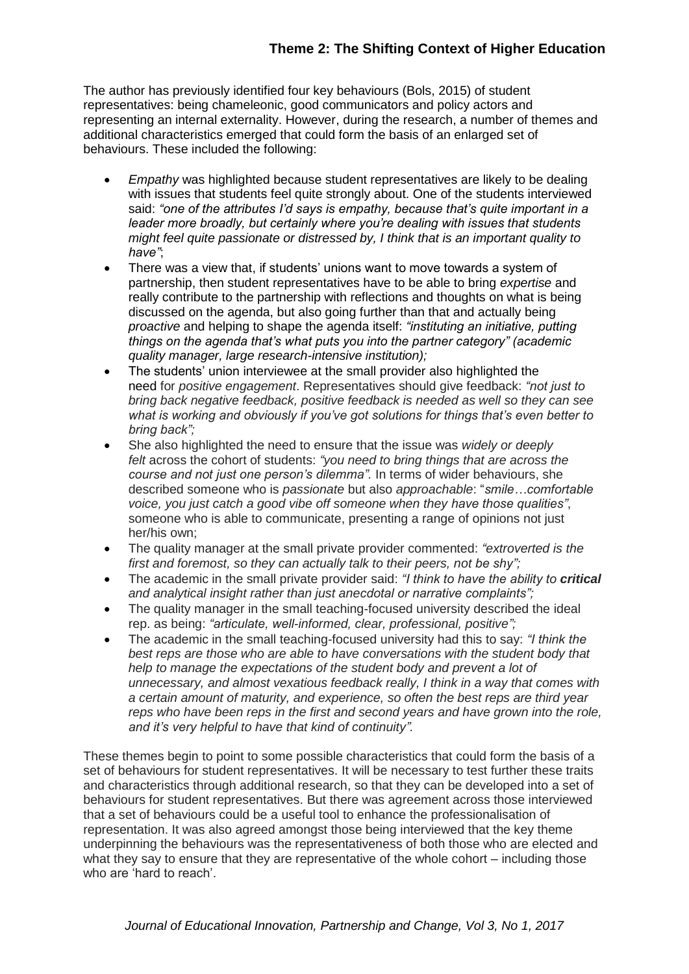The author has previously identified four key behaviours (Bols, 2015) of student representatives: being chameleonic, good communicators and policy actors and representing an internal externality. However, during the research, a number of themes and additional characteristics emerged that could form the basis of an enlarged set of behaviours. These included the following:

- *Empathy* was highlighted because student representatives are likely to be dealing with issues that students feel quite strongly about. One of the students interviewed said: *"one of the attributes I'd says is empathy, because that's quite important in a leader more broadly, but certainly where you're dealing with issues that students might feel quite passionate or distressed by, I think that is an important quality to have"*;
- There was a view that, if students' unions want to move towards a system of partnership, then student representatives have to be able to bring *expertise* and really contribute to the partnership with reflections and thoughts on what is being discussed on the agenda, but also going further than that and actually being *proactive* and helping to shape the agenda itself: *"instituting an initiative, putting things on the agenda that's what puts you into the partner category" (academic quality manager, large research-intensive institution);*
- The students' union interviewee at the small provider also highlighted the need for *positive engagement*. Representatives should give feedback: *"not just to bring back negative feedback, positive feedback is needed as well so they can see what is working and obviously if you've got solutions for things that's even better to bring back";*
- She also highlighted the need to ensure that the issue was *widely or deeply felt* across the cohort of students: *"you need to bring things that are across the course and not just one person's dilemma".* In terms of wider behaviours, she described someone who is *passionate* but also *approachable*: "*smile…comfortable voice, you just catch a good vibe off someone when they have those qualities"*, someone who is able to communicate, presenting a range of opinions not just her/his own;
- The quality manager at the small private provider commented: *"extroverted is the first and foremost, so they can actually talk to their peers, not be shy";*
- The academic in the small private provider said: *"I think to have the ability to critical and analytical insight rather than just anecdotal or narrative complaints";*
- The quality manager in the small teaching-focused university described the ideal rep. as being: *"articulate, well-informed, clear, professional, positive";*
- The academic in the small teaching-focused university had this to say: *"I think the best reps are those who are able to have conversations with the student body that help to manage the expectations of the student body and prevent a lot of unnecessary, and almost vexatious feedback really, I think in a way that comes with a certain amount of maturity, and experience, so often the best reps are third year reps who have been reps in the first and second years and have grown into the role, and it's very helpful to have that kind of continuity".*

These themes begin to point to some possible characteristics that could form the basis of a set of behaviours for student representatives. It will be necessary to test further these traits and characteristics through additional research, so that they can be developed into a set of behaviours for student representatives. But there was agreement across those interviewed that a set of behaviours could be a useful tool to enhance the professionalisation of representation. It was also agreed amongst those being interviewed that the key theme underpinning the behaviours was the representativeness of both those who are elected and what they say to ensure that they are representative of the whole cohort – including those who are 'hard to reach'.